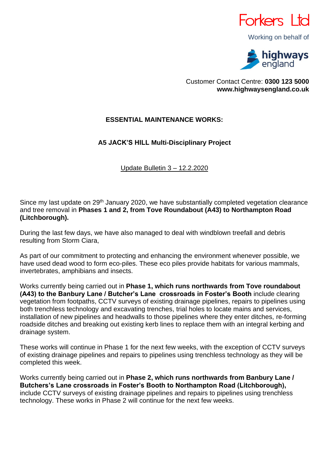

Working on behalf of



Customer Contact Centre: **0300 123 5000 www.highwaysengland.co.uk**

## **ESSENTIAL MAINTENANCE WORKS:**

## **A5 JACK'S HILL Multi-Disciplinary Project**

Update Bulletin 3 – 12.2.2020

Since my last update on 29<sup>th</sup> January 2020, we have substantially completed vegetation clearance and tree removal in **Phases 1 and 2, from Tove Roundabout (A43) to Northampton Road (Litchborough).**

During the last few days, we have also managed to deal with windblown treefall and debris resulting from Storm Ciara,

As part of our commitment to protecting and enhancing the environment whenever possible, we have used dead wood to form eco-piles. These eco piles provide habitats for various mammals, invertebrates, amphibians and insects.

Works currently being carried out in **Phase 1, which runs northwards from Tove roundabout (A43) to the Banbury Lane / Butcher's Lane crossroads in Foster's Booth** include clearing vegetation from footpaths, CCTV surveys of existing drainage pipelines, repairs to pipelines using both trenchless technology and excavating trenches, trial holes to locate mains and services, installation of new pipelines and headwalls to those pipelines where they enter ditches, re-forming roadside ditches and breaking out existing kerb lines to replace them with an integral kerbing and drainage system.

These works will continue in Phase 1 for the next few weeks, with the exception of CCTV surveys of existing drainage pipelines and repairs to pipelines using trenchless technology as they will be completed this week.

Works currently being carried out in **Phase 2, which runs northwards from Banbury Lane / Butchers's Lane crossroads in Foster's Booth to Northampton Road (Litchborough),** include CCTV surveys of existing drainage pipelines and repairs to pipelines using trenchless technology. These works in Phase 2 will continue for the next few weeks.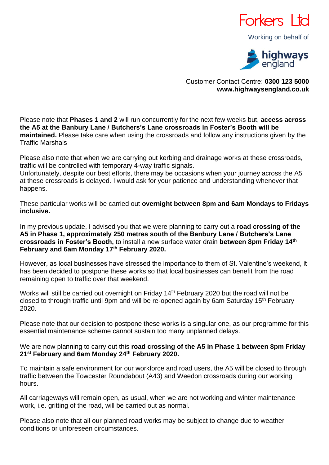

Working on behalf of



Customer Contact Centre: **0300 123 5000 www.highwaysengland.co.uk**

Please note that **Phases 1 and 2** will run concurrently for the next few weeks but, **access across the A5 at the Banbury Lane / Butchers's Lane crossroads in Foster's Booth will be maintained.** Please take care when using the crossroads and follow any instructions given by the Traffic Marshals

Please also note that when we are carrying out kerbing and drainage works at these crossroads, traffic will be controlled with temporary 4-way traffic signals.

Unfortunately, despite our best efforts, there may be occasions when your journey across the A5 at these crossroads is delayed. I would ask for your patience and understanding whenever that happens.

These particular works will be carried out **overnight between 8pm and 6am Mondays to Fridays inclusive.**

In my previous update, I advised you that we were planning to carry out a **road crossing of the A5 in Phase 1, approximately 250 metres south of the Banbury Lane / Butchers's Lane crossroads in Foster's Booth,** to install a new surface water drain **between 8pm Friday 14th February and 6am Monday 17th February 2020.**

However, as local businesses have stressed the importance to them of St. Valentine's weekend, it has been decided to postpone these works so that local businesses can benefit from the road remaining open to traffic over that weekend.

Works will still be carried out overnight on Friday 14<sup>th</sup> February 2020 but the road will not be closed to through traffic until 9pm and will be re-opened again by 6am Saturday 15<sup>th</sup> February 2020.

Please note that our decision to postpone these works is a singular one, as our programme for this essential maintenance scheme cannot sustain too many unplanned delays.

We are now planning to carry out this **road crossing of the A5 in Phase 1 between 8pm Friday 21st February and 6am Monday 24th February 2020.**

To maintain a safe environment for our workforce and road users, the A5 will be closed to through traffic between the Towcester Roundabout (A43) and Weedon crossroads during our working hours.

All carriageways will remain open, as usual, when we are not working and winter maintenance work, i.e. gritting of the road, will be carried out as normal.

Please also note that all our planned road works may be subject to change due to weather conditions or unforeseen circumstances.